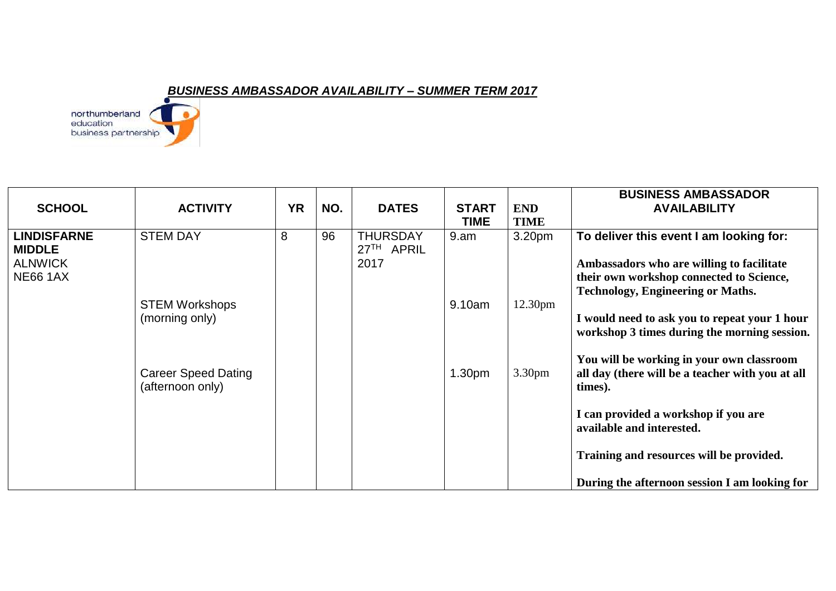## *BUSINESS AMBASSADOR AVAILABILITY – SUMMER TERM 2017*



| <b>SCHOOL</b>                                                            | <b>ACTIVITY</b>                                | <b>YR</b> | NO. | <b>DATES</b>                                      | <b>START</b><br>TIME | <b>END</b><br><b>TIME</b> | <b>BUSINESS AMBASSADOR</b><br><b>AVAILABILITY</b>                                                                                                                            |
|--------------------------------------------------------------------------|------------------------------------------------|-----------|-----|---------------------------------------------------|----------------------|---------------------------|------------------------------------------------------------------------------------------------------------------------------------------------------------------------------|
| <b>LINDISFARNE</b><br><b>MIDDLE</b><br><b>ALNWICK</b><br><b>NE66 1AX</b> | <b>STEM DAY</b>                                | 8         | 96  | <b>THURSDAY</b><br>27 <sup>TH</sup> APRIL<br>2017 | 9.am                 | 3.20 <sub>pm</sub>        | To deliver this event I am looking for:<br>Ambassadors who are willing to facilitate<br>their own workshop connected to Science,<br><b>Technology, Engineering or Maths.</b> |
|                                                                          | <b>STEM Workshops</b><br>(morning only)        |           |     |                                                   | 9.10am               | 12.30 <sub>pm</sub>       | I would need to ask you to repeat your 1 hour<br>workshop 3 times during the morning session.                                                                                |
|                                                                          | <b>Career Speed Dating</b><br>(afternoon only) |           |     |                                                   | 1.30 <sub>pm</sub>   | 3.30 <sub>pm</sub>        | You will be working in your own classroom<br>all day (there will be a teacher with you at all<br>times).                                                                     |
|                                                                          |                                                |           |     |                                                   |                      |                           | I can provided a workshop if you are<br>available and interested.                                                                                                            |
|                                                                          |                                                |           |     |                                                   |                      |                           | Training and resources will be provided.                                                                                                                                     |
|                                                                          |                                                |           |     |                                                   |                      |                           | During the afternoon session I am looking for                                                                                                                                |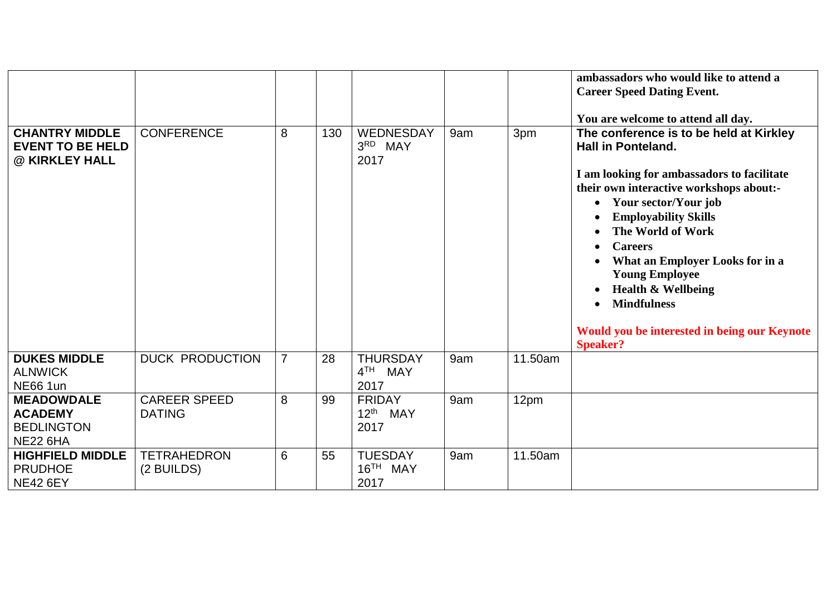|                                                                             |                                      |                |     |                                                |     |         | ambassadors who would like to attend a<br><b>Career Speed Dating Event.</b><br>You are welcome to attend all day.                                                                                                                                                                                                                                                                                                                                                |
|-----------------------------------------------------------------------------|--------------------------------------|----------------|-----|------------------------------------------------|-----|---------|------------------------------------------------------------------------------------------------------------------------------------------------------------------------------------------------------------------------------------------------------------------------------------------------------------------------------------------------------------------------------------------------------------------------------------------------------------------|
| <b>CHANTRY MIDDLE</b><br><b>EVENT TO BE HELD</b><br>@ KIRKLEY HALL          | <b>CONFERENCE</b>                    | 8              | 130 | WEDNESDAY<br>3RD MAY<br>2017                   | 9am | 3pm     | The conference is to be held at Kirkley<br><b>Hall in Ponteland.</b><br>I am looking for ambassadors to facilitate<br>their own interactive workshops about:-<br>• Your sector/Your job<br><b>Employability Skills</b><br>The World of Work<br><b>Careers</b><br>What an Employer Looks for in a<br><b>Young Employee</b><br><b>Health &amp; Wellbeing</b><br><b>Mindfulness</b><br>$\bullet$<br>Would you be interested in being our Keynote<br><b>Speaker?</b> |
| <b>DUKES MIDDLE</b><br><b>ALNWICK</b><br><b>NE66 1un</b>                    | <b>DUCK PRODUCTION</b>               | $\overline{7}$ | 28  | <b>THURSDAY</b><br>4 <sup>TH</sup> MAY<br>2017 | 9am | 11.50am |                                                                                                                                                                                                                                                                                                                                                                                                                                                                  |
| <b>MEADOWDALE</b><br><b>ACADEMY</b><br><b>BEDLINGTON</b><br><b>NE22 6HA</b> | <b>CAREER SPEED</b><br><b>DATING</b> | 8              | 99  | <b>FRIDAY</b><br>12 <sup>th</sup> MAY<br>2017  | 9am | 12pm    |                                                                                                                                                                                                                                                                                                                                                                                                                                                                  |
| <b>HIGHFIELD MIDDLE</b><br><b>PRUDHOE</b><br><b>NE42 6EY</b>                | <b>TETRAHEDRON</b><br>(2 BUILDS)     | 6              | 55  | <b>TUESDAY</b><br>16 <sup>TH</sup> MAY<br>2017 | 9am | 11.50am |                                                                                                                                                                                                                                                                                                                                                                                                                                                                  |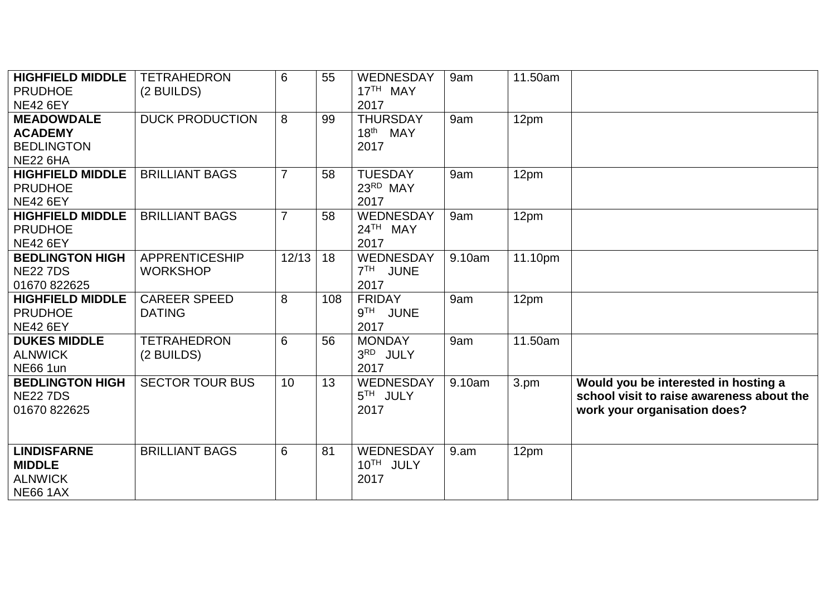| <b>HIGHFIELD MIDDLE</b><br><b>PRUDHOE</b><br><b>NE42 6EY</b>                | <b>TETRAHEDRON</b><br>(2 BUILDS)         | 6              | 55  | WEDNESDAY<br>17 <sup>TH</sup> MAY<br>2017               | 9am    | 11.50am |                                                                                                                   |
|-----------------------------------------------------------------------------|------------------------------------------|----------------|-----|---------------------------------------------------------|--------|---------|-------------------------------------------------------------------------------------------------------------------|
| <b>MEADOWDALE</b><br><b>ACADEMY</b><br><b>BEDLINGTON</b><br><b>NE22 6HA</b> | <b>DUCK PRODUCTION</b>                   | 8              | 99  | <b>THURSDAY</b><br>18 <sup>th</sup> MAY<br>2017         | 9am    | 12pm    |                                                                                                                   |
| <b>HIGHFIELD MIDDLE</b><br><b>PRUDHOE</b><br><b>NE42 6EY</b>                | <b>BRILLIANT BAGS</b>                    | $\overline{7}$ | 58  | <b>TUESDAY</b><br>23RD MAY<br>2017                      | 9am    | 12pm    |                                                                                                                   |
| <b>HIGHFIELD MIDDLE</b><br><b>PRUDHOE</b><br><b>NE42 6EY</b>                | <b>BRILLIANT BAGS</b>                    | $\overline{7}$ | 58  | WEDNESDAY<br>24TH MAY<br>2017                           | 9am    | 12pm    |                                                                                                                   |
| <b>BEDLINGTON HIGH</b><br><b>NE22 7DS</b><br>01670 822625                   | <b>APPRENTICESHIP</b><br><b>WORKSHOP</b> | 12/13          | 18  | <b>WEDNESDAY</b><br>7TH JUNE<br>2017                    | 9.10am | 11.10pm |                                                                                                                   |
| <b>HIGHFIELD MIDDLE</b><br><b>PRUDHOE</b><br><b>NE42 6EY</b>                | <b>CAREER SPEED</b><br><b>DATING</b>     | 8              | 108 | <b>FRIDAY</b><br>9 <sup>TH</sup><br><b>JUNE</b><br>2017 | 9am    | 12pm    |                                                                                                                   |
| <b>DUKES MIDDLE</b><br><b>ALNWICK</b><br><b>NE66 1un</b>                    | <b>TETRAHEDRON</b><br>(2 BUILDS)         | 6              | 56  | <b>MONDAY</b><br>3RD JULY<br>2017                       | 9am    | 11.50am |                                                                                                                   |
| <b>BEDLINGTON HIGH</b><br><b>NE22 7DS</b><br>01670 822625                   | <b>SECTOR TOUR BUS</b>                   | 10             | 13  | <b>WEDNESDAY</b><br>5 <sup>TH</sup> JULY<br>2017        | 9.10am | 3.pm    | Would you be interested in hosting a<br>school visit to raise awareness about the<br>work your organisation does? |
| <b>LINDISFARNE</b><br><b>MIDDLE</b><br><b>ALNWICK</b><br><b>NE66 1AX</b>    | <b>BRILLIANT BAGS</b>                    | 6              | 81  | <b>WEDNESDAY</b><br>10TH JULY<br>2017                   | 9.am   | 12pm    |                                                                                                                   |